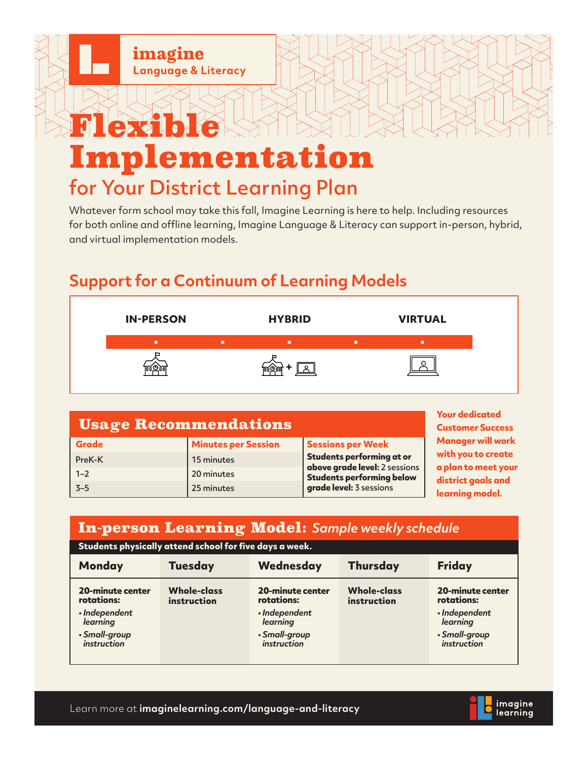

# Implementation for Your District Learning Plan

Whatever form school may take this fall, Imagine Learning is here to help. Including resources for both online and offline learning, Imagine Language & Literacy can support in-person, hybrid, and virtual implementation models.

## **Support for a Continuum of Learning Models**

| <b>IN-PERSON</b> | <b>HYBRID</b> | <b>VIRTUAL</b> |
|------------------|---------------|----------------|
|                  |               |                |
|                  |               |                |

| <b>Usage Recommendations</b> | <b>Your dedicated</b><br><b>Customer Success</b> |                                                                                              |                                           |
|------------------------------|--------------------------------------------------|----------------------------------------------------------------------------------------------|-------------------------------------------|
| <b>Grade</b>                 | <b>Minutes per Session</b>                       | Sessions per Week                                                                            | <b>Manager will work</b>                  |
| PreK-K                       | 15 minutes                                       | Students performing at or                                                                    | with you to create                        |
| $1 - 2$                      | 20 minutes                                       | above grade level: 2 sessions<br><b>Students performing below</b><br>grade level: 3 sessions | a plan to meet your<br>district goals and |
| $3 - 5$                      | 25 minutes                                       |                                                                                              | learning model.                           |

### In-person Learning Model: *Sample weekly schedule*

| Students physically attend school for five days a week.                                                   |                                   |                                                                                                           |                                   |                                                                                                    |  |  |
|-----------------------------------------------------------------------------------------------------------|-----------------------------------|-----------------------------------------------------------------------------------------------------------|-----------------------------------|----------------------------------------------------------------------------------------------------|--|--|
| <b>Monday</b>                                                                                             | <b>Tuesday</b>                    | Wednesday                                                                                                 | <b>Thursday</b>                   | <b>Friday</b>                                                                                      |  |  |
| <b>20-minute center</b><br>rotations:<br>· Independent<br>learning<br>· Small-group<br><i>instruction</i> | <b>Whole-class</b><br>instruction | <b>20-minute center</b><br>rotations:<br>· Independent<br>learning<br>· Small-group<br><i>instruction</i> | <b>Whole-class</b><br>instruction | 20-minute center<br>rotations:<br>· Independent<br>learning<br>· Small-group<br><i>instruction</i> |  |  |

Learn more at **imaginelearning.com/language-and-literacy**

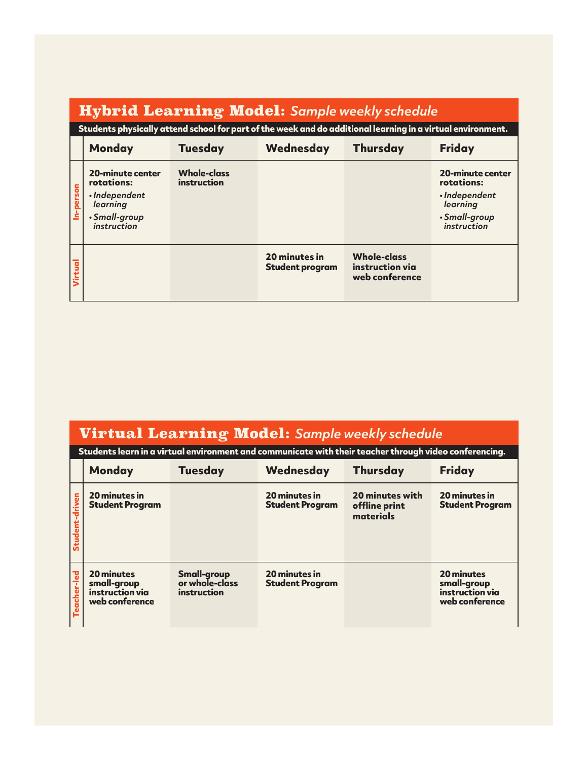## Hybrid Learning Model: *Sample weekly schedule*

**Students physically attend school for part of the week and do additional learning in a virtual environment.**

|           | <b>Monday</b>                                                                                             | <b>Tuesday</b>                    | <b>Wednesday</b>                        | <b>Thursday</b>                                         | <b>Friday</b>                                                                                      |
|-----------|-----------------------------------------------------------------------------------------------------------|-----------------------------------|-----------------------------------------|---------------------------------------------------------|----------------------------------------------------------------------------------------------------|
| In-person | <b>20-minute center</b><br>rotations:<br>· Independent<br>learning<br>· Small-group<br><i>instruction</i> | <b>Whole-class</b><br>instruction |                                         |                                                         | <b>20-minute center</b><br>rotations:<br>· Independent<br>learning<br>· Small-group<br>instruction |
| Virtual   |                                                                                                           |                                   | 20 minutes in<br><b>Student program</b> | <b>Whole-class</b><br>instruction via<br>web conference |                                                                                                    |

| <b>Virtual Learning Model:</b> Sample weekly schedule |                                                                                                        |                                                     |                                         |                                               |                                                                |  |
|-------------------------------------------------------|--------------------------------------------------------------------------------------------------------|-----------------------------------------------------|-----------------------------------------|-----------------------------------------------|----------------------------------------------------------------|--|
|                                                       | Students learn in a virtual environment and communicate with their teacher through video conferencing. |                                                     |                                         |                                               |                                                                |  |
|                                                       | <b>Monday</b>                                                                                          | <b>Tuesday</b>                                      | Wednesday                               | <b>Thursday</b>                               | <b>Friday</b>                                                  |  |
| Student-driven                                        | 20 minutes in<br><b>Student Program</b>                                                                |                                                     | 20 minutes in<br><b>Student Program</b> | 20 minutes with<br>offline print<br>materials | 20 minutes in<br><b>Student Program</b>                        |  |
| Teacher-led                                           | <b>20 minutes</b><br>small-group<br>instruction via<br>web conference                                  | <b>Small-group</b><br>or whole-class<br>instruction | 20 minutes in<br><b>Student Program</b> |                                               | 20 minutes<br>small-group<br>instruction via<br>web conference |  |